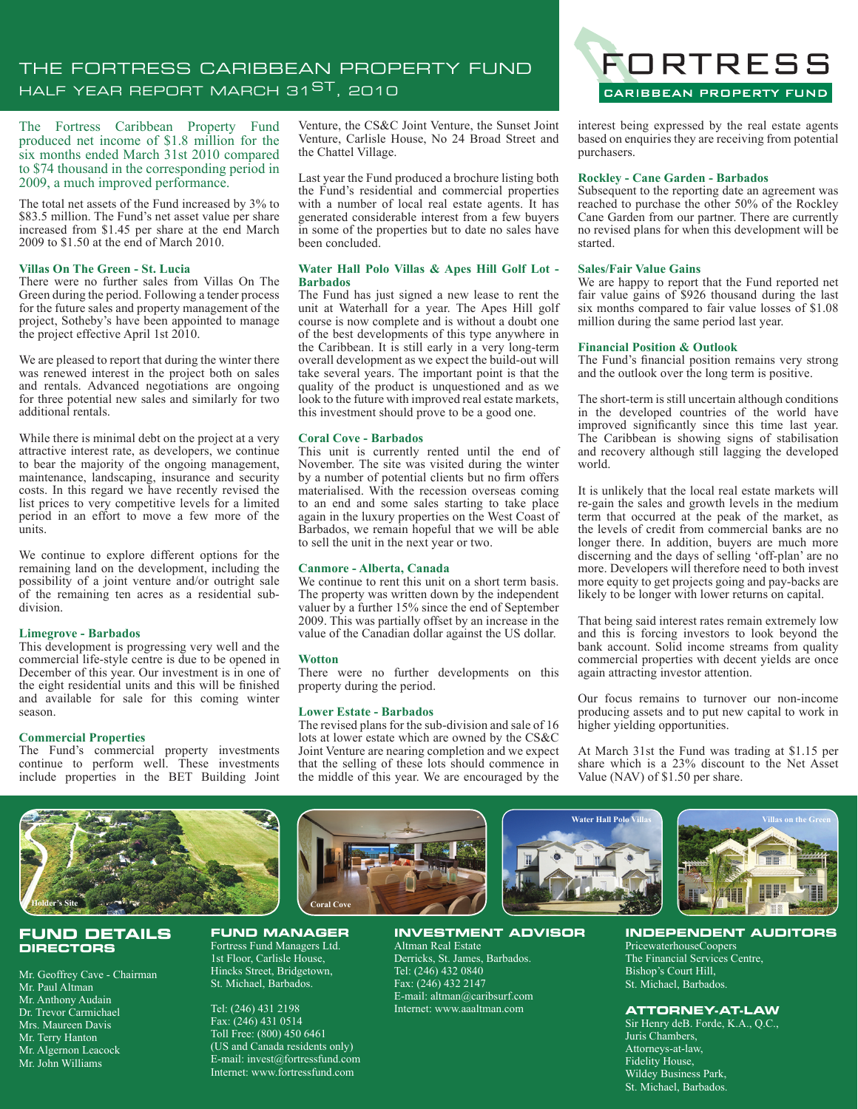# THE FORTRESS CARIBBEAN PROPERTY FUND HALF YEAR REPORT MARCH 31<sup>ST</sup>, 2010

The Fortress Caribbean Property Fund produced net income of \$1.8 million for the six months ended March 31st 2010 compared to \$74 thousand in the corresponding period in 2009, a much improved performance.

The total net assets of the Fund increased by 3% to \$83.5 million. The Fund's net asset value per share increased from \$1.45 per share at the end March 2009 to \$1.50 at the end of March 2010.

### **Villas On The Green - St. Lucia**

There were no further sales from Villas On The Green during the period. Following a tender process for the future sales and property management of the project, Sotheby's have been appointed to manage the project effective April 1st 2010.

We are pleased to report that during the winter there was renewed interest in the project both on sales and rentals. Advanced negotiations are ongoing for three potential new sales and similarly for two additional rentals.

While there is minimal debt on the project at a very attractive interest rate, as developers, we continue to bear the majority of the ongoing management, maintenance, landscaping, insurance and security costs. In this regard we have recently revised the list prices to very competitive levels for a limited period in an effort to move a few more of the units.

We continue to explore different options for the remaining land on the development, including the possibility of a joint venture and/or outright sale of the remaining ten acres as a residential subdivision.

## **Limegrove - Barbados**

This development is progressing very well and the commercial life-style centre is due to be opened in December of this year. Our investment is in one of the eight residential units and this will be finished and available for sale for this coming winter season.

### **Commercial Properties**

The Fund's commercial property investments continue to perform well. These investments include properties in the BET Building Joint

Venture, the CS&C Joint Venture, the Sunset Joint Venture, Carlisle House, No 24 Broad Street and the Chattel Village.

Last year the Fund produced a brochure listing both the Fund's residential and commercial properties with a number of local real estate agents. It has generated considerable interest from a few buyers in some of the properties but to date no sales have been concluded.

## **Water Hall Polo Villas & Apes Hill Golf Lot - Barbados**

The Fund has just signed a new lease to rent the unit at Waterhall for a year. The Apes Hill golf course is now complete and is without a doubt one of the best developments of this type anywhere in the Caribbean. It is still early in a very long-term overall development as we expect the build-out will take several years. The important point is that the quality of the product is unquestioned and as we look to the future with improved real estate markets, this investment should prove to be a good one.

#### **Coral Cove - Barbados**

This unit is currently rented until the end of November. The site was visited during the winter by a number of potential clients but no firm offers materialised. With the recession overseas coming to an end and some sales starting to take place again in the luxury properties on the West Coast of Barbados, we remain hopeful that we will be able to sell the unit in the next year or two.

### **Canmore - Alberta, Canada**

We continue to rent this unit on a short term basis. The property was written down by the independent valuer by a further 15% since the end of September 2009. This was partially offset by an increase in the value of the Canadian dollar against the US dollar.

### **Wotton**

There were no further developments on this property during the period.

#### **Lower Estate - Barbados**

The revised plans for the sub-division and sale of 16 lots at lower estate which are owned by the CS&C Joint Venture are nearing completion and we expect that the selling of these lots should commence in the middle of this year. We are encouraged by the



interest being expressed by the real estate agents based on enquiries they are receiving from potential purchasers.

#### **Rockley - Cane Garden - Barbados**

Subsequent to the reporting date an agreement was reached to purchase the other 50% of the Rockley Cane Garden from our partner. There are currently no revised plans for when this development will be started.

#### **Sales/Fair Value Gains**

We are happy to report that the Fund reported net fair value gains of \$926 thousand during the last six months compared to fair value losses of \$1.08 million during the same period last year.

#### **Financial Position & Outlook**

The Fund's financial position remains very strong and the outlook over the long term is positive.

The short-term is still uncertain although conditions in the developed countries of the world have improved significantly since this time last year. The Caribbean is showing signs of stabilisation and recovery although still lagging the developed world.

It is unlikely that the local real estate markets will re-gain the sales and growth levels in the medium term that occurred at the peak of the market, as the levels of credit from commercial banks are no longer there. In addition, buyers are much more discerning and the days of selling 'off-plan' are no more. Developers will therefore need to both invest more equity to get projects going and pay-backs are likely to be longer with lower returns on capital.

That being said interest rates remain extremely low and this is forcing investors to look beyond the bank account. Solid income streams from quality commercial properties with decent yields are once again attracting investor attention.

Our focus remains to turnover our non-income producing assets and to put new capital to work in higher yielding opportunities.

At March 31st the Fund was trading at \$1.15 per share which is a 23% discount to the Net Asset Value (NAV) of \$1.50 per share.



### **FUND DETAILS DIRECTORS**

Mr. Geoffrey Cave - Chairman Mr. Paul Altman Mr. Anthony Audain Dr. Trevor Carmichael Mrs. Maureen Davis Mr. Terry Hanton Mr. Algernon Leacock Mr. John Williams



#### **FUND MANAGER** Fortress Fund Managers Ltd. 1st Floor, Carlisle House, Hincks Street, Bridgetown, St. Michael, Barbados.

Tel: (246) 431 2198 Fax: (246) 431 0514 Toll Free: (800) 450 6461 (US and Canada residents only) E-mail: invest@fortressfund.com Internet: www.fortressfund.com



Altman Real Estate Derricks, St. James, Barbados. Tel: (246) 432 0840 Fax: (246) 432 2147 E-mail: altman@caribsurf.com Internet: www.aaaltman.com



PricewaterhouseCoopers The Financial Services Centre, Bishop's Court Hill, St. Michael, Barbados.

# **ATTORNEY-AT-LAW**

Sir Henry deB. Forde, K.A., Q.C., Juris Chambers, Attorneys-at-law, Fidelity House, Wildey Business Park, St. Michael, Barbados.